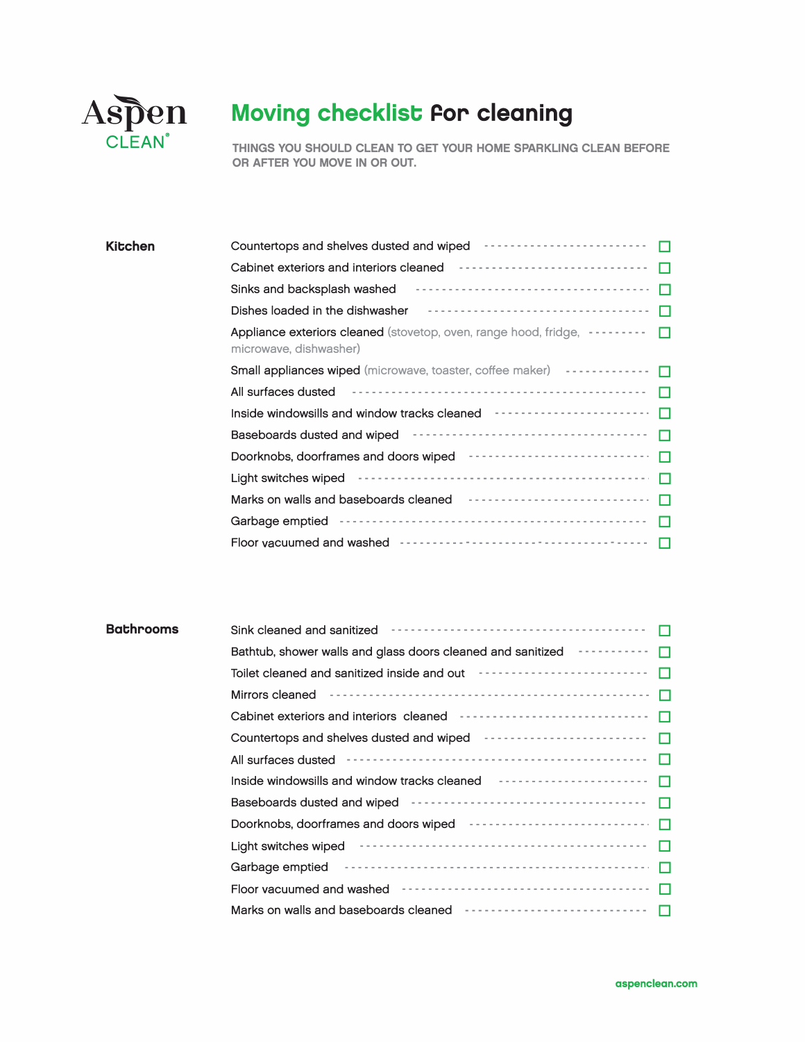

## Moving checklist for cleaning

THINGS YOU SHOULD CLEAN TO GET YOUR HOME SPARKLING CLEAN BEFORE OR AFTER YOU MOVE IN OR OUT.

| Kitchen | Countertops and shelves dusted and wiped <b>Face and Shelves</b> contains a contact to the set of the set of the set of the set of the set of the set of the set of the set of the set of the set of the set of the set of the set |
|---------|------------------------------------------------------------------------------------------------------------------------------------------------------------------------------------------------------------------------------------|
|         | Cabinet exteriors and interiors cleaned <b>Formation Cabinet</b> exteriors and interiors cleaned <b>Formation</b>                                                                                                                  |
|         | Sinks and backsplash washed                                                                                                                                                                                                        |
|         | Dishes loaded in the dishwasher <b>Face Acceptance of the Second Property</b> Dishes loaded in the dishwasher                                                                                                                      |
|         | <b>Appliance exteriors cleaned</b> (stovetop, oven, range hood, fridge, <b>·········</b><br>microwave, dishwasher)                                                                                                                 |
|         | Small appliances wiped (microwave, toaster, coffee maker)                                                                                                                                                                          |
|         | All surfaces dusted                                                                                                                                                                                                                |
|         | Inside windowsills and window tracks cleaned <b>Face interact and interior in the United</b>                                                                                                                                       |
|         | Baseboards dusted and wiped <b>Proton Construct Construct Construct</b><br>П                                                                                                                                                       |
|         | Doorknobs, doorframes and doors wiped ---------------------------<br>П                                                                                                                                                             |
|         |                                                                                                                                                                                                                                    |
|         | Marks on walls and baseboards cleaned <b>For the Continuum of the Contract Control</b>                                                                                                                                             |
|         | Garbage emptied continuous-continuous-continuous-continuous-                                                                                                                                                                       |
|         | Floor vacuumed and washed subsequently and the set of the set of the set of the set of the set of the set of the set of the set of the set of the set of the set of the set of the set of the set of the set of the set of the     |

| <b>Bathrooms</b> |                                                                                                                      |
|------------------|----------------------------------------------------------------------------------------------------------------------|
|                  | Bathtub, shower walls and glass doors cleaned and sanitized <b>Fig. 1.1.1.1.1.1.1.1.1.1.1.1.1.1.1.1.1.</b>           |
|                  | Toilet cleaned and sanitized inside and out <b>Fall Accept and Server Container</b><br>$\Box$                        |
|                  |                                                                                                                      |
|                  |                                                                                                                      |
|                  | $\Box$                                                                                                               |
|                  | All surfaces dusted                                                                                                  |
|                  | $\Box$                                                                                                               |
|                  |                                                                                                                      |
|                  |                                                                                                                      |
|                  | Light switches wiped <b>Product Strategier and Strategier Container and Strategier August</b> D                      |
|                  | Garbage emptied <b>container and container and container and container and container and container and container</b> |
|                  |                                                                                                                      |
|                  |                                                                                                                      |